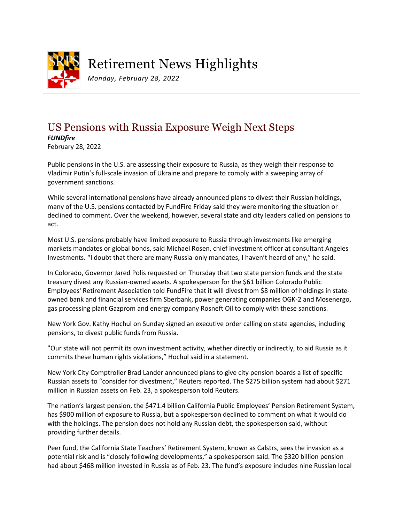

## Retirement News Highlights

*Monday, February 28, 2022*

## US Pensions with Russia Exposure Weigh Next Steps

*FUNDfire* February 28, 2022

Public pensions in the U.S. are assessing their exposure to Russia, as they weigh their response to Vladimir Putin's full-scale invasion of Ukraine and prepare to comply with a sweeping array of government sanctions.

While several international pensions have already announced plans to divest their Russian holdings, many of the U.S. pensions contacted by FundFire Friday said they were monitoring the situation or declined to comment. Over the weekend, however, several state and city leaders called on pensions to act.

Most U.S. pensions probably have limited exposure to Russia through investments like emerging markets mandates or global bonds, said Michael Rosen, chief investment officer at consultant Angeles Investments. "I doubt that there are many Russia-only mandates, I haven't heard of any," he said.

In Colorado, Governor Jared Polis requested on Thursday that two state pension funds and the state treasury divest any Russian-owned assets. A spokesperson for the \$61 billion Colorado Public Employees' Retirement Association told FundFire that it will divest from \$8 million of holdings in stateowned bank and financial services firm Sberbank, power generating companies OGK-2 and Mosenergo, gas processing plant Gazprom and energy company Rosneft Oil to comply with these sanctions.

New York Gov. Kathy Hochul on Sunday signed an executive order calling on state agencies, including pensions, to divest public funds from Russia.

"Our state will not permit its own investment activity, whether directly or indirectly, to aid Russia as it commits these human rights violations," Hochul said in a statement.

New York City Comptroller Brad Lander announced plans to give city pension boards a list of specific Russian assets to "consider for divestment," Reuters reported. The \$275 billion system had about \$271 million in Russian assets on Feb. 23, a spokesperson told Reuters.

The nation's largest pension, the \$471.4 billion California Public Employees' Pension Retirement System, has \$900 million of exposure to Russia, but a spokesperson declined to comment on what it would do with the holdings. The pension does not hold any Russian debt, the spokesperson said, without providing further details.

Peer fund, the California State Teachers' Retirement System, known as Calstrs, sees the invasion as a potential risk and is "closely following developments," a spokesperson said. The \$320 billion pension had about \$468 million invested in Russia as of Feb. 23. The fund's exposure includes nine Russian local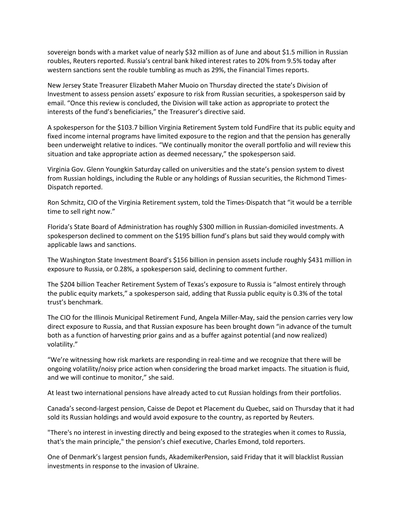sovereign bonds with a market value of nearly \$32 million as of June and about \$1.5 million in Russian roubles, Reuters reported. Russia's central bank hiked interest rates to 20% from 9.5% today after western sanctions sent the rouble tumbling as much as 29%, the Financial Times reports.

New Jersey State Treasurer Elizabeth Maher Muoio on Thursday directed the state's Division of Investment to assess pension assets' exposure to risk from Russian securities, a spokesperson said by email. "Once this review is concluded, the Division will take action as appropriate to protect the interests of the fund's beneficiaries," the Treasurer's directive said.

A spokesperson for the \$103.7 billion Virginia Retirement System told FundFire that its public equity and fixed income internal programs have limited exposure to the region and that the pension has generally been underweight relative to indices. "We continually monitor the overall portfolio and will review this situation and take appropriate action as deemed necessary," the spokesperson said.

Virginia Gov. Glenn Youngkin Saturday called on universities and the state's pension system to divest from Russian holdings, including the Ruble or any holdings of Russian securities, the Richmond Times-Dispatch reported.

Ron Schmitz, CIO of the Virginia Retirement system, told the Times-Dispatch that "it would be a terrible time to sell right now."

Florida's State Board of Administration has roughly \$300 million in Russian-domiciled investments. A spokesperson declined to comment on the \$195 billion fund's plans but said they would comply with applicable laws and sanctions.

The Washington State Investment Board's \$156 billion in pension assets include roughly \$431 million in exposure to Russia, or 0.28%, a spokesperson said, declining to comment further.

The \$204 billion Teacher Retirement System of Texas's exposure to Russia is "almost entirely through the public equity markets," a spokesperson said, adding that Russia public equity is 0.3% of the total trust's benchmark.

The CIO for the Illinois Municipal Retirement Fund, Angela Miller-May, said the pension carries very low direct exposure to Russia, and that Russian exposure has been brought down "in advance of the tumult both as a function of harvesting prior gains and as a buffer against potential (and now realized) volatility."

"We're witnessing how risk markets are responding in real-time and we recognize that there will be ongoing volatility/noisy price action when considering the broad market impacts. The situation is fluid, and we will continue to monitor," she said.

At least two international pensions have already acted to cut Russian holdings from their portfolios.

Canada's second-largest pension, Caisse de Depot et Placement du Quebec, said on Thursday that it had sold its Russian holdings and would avoid exposure to the country, as reported by Reuters.

"There's no interest in investing directly and being exposed to the strategies when it comes to Russia, that's the main principle," the pension's chief executive, Charles Emond, told reporters.

One of Denmark's largest pension funds, AkademikerPension, said Friday that it will blacklist Russian investments in response to the invasion of Ukraine.